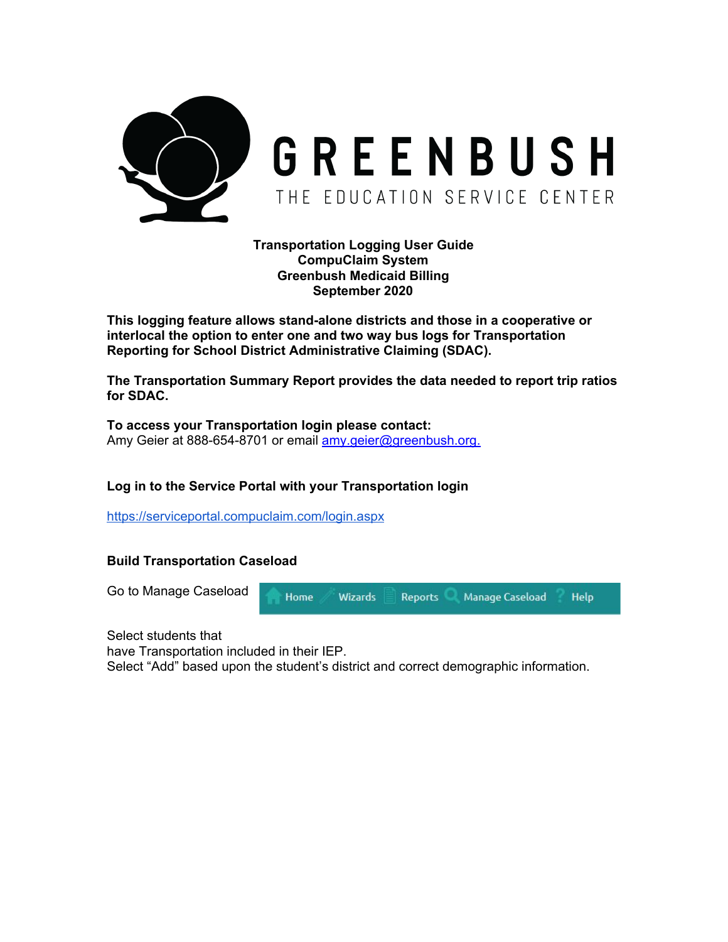

**Transportation Logging User Guide CompuClaim System Greenbush Medicaid Billing September 2020**

**This logging feature allows stand-alone districts and those in a cooperative or interlocal the option to enter one and two way bus logs for Transportation Reporting for School District Administrative Claiming (SDAC).**

**The Transportation Summary Report provides the data needed to report trip ratios for SDAC.**

**To access your Transportation login please contact:** Amy Geier at 888-654-8701 or email [amy.geier@greenbush.org](mailto:amy.geier@greenbush.org).

# **Log in to the Service Portal with your Transportation login**

<https://serviceportal.compuclaim.com/login.aspx>

#### **Build Transportation Caseload**



Select students that

have Transportation included in their IEP.

Select "Add" based upon the student's district and correct demographic information.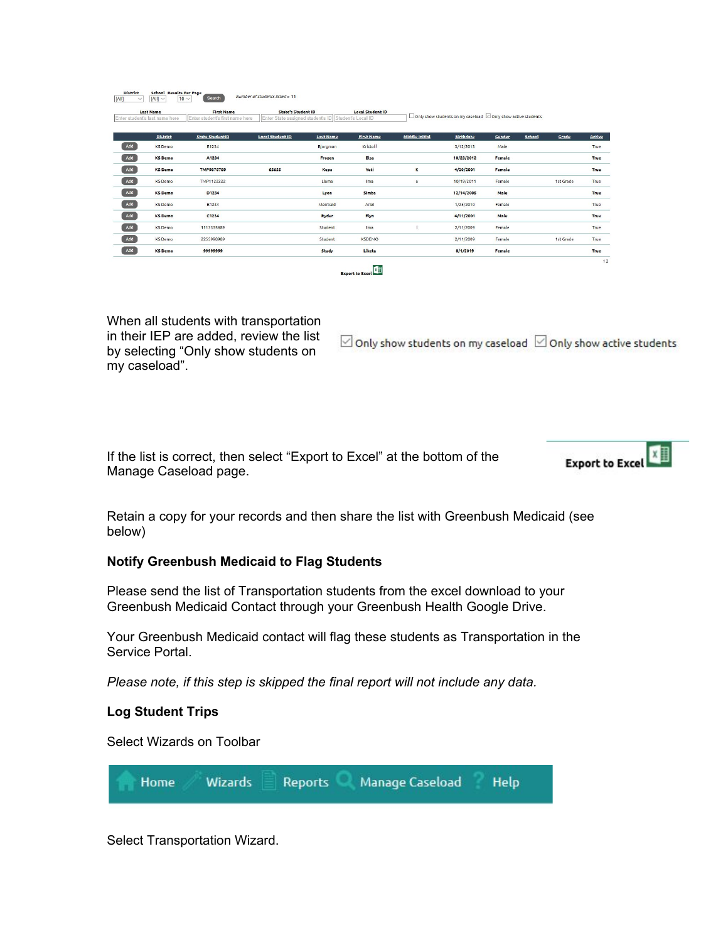|     | <b>Last Name</b><br>Enter student's last name here | <b>First Name</b><br>Enter student's first name here | <b>State's Student ID</b><br>Enter State assigned student's ID Student's Local ID |                  | <b>Local Student ID</b> |                       | □ Only show students on my caseload ⊡ Only show active students |        |        |           |             |
|-----|----------------------------------------------------|------------------------------------------------------|-----------------------------------------------------------------------------------|------------------|-------------------------|-----------------------|-----------------------------------------------------------------|--------|--------|-----------|-------------|
|     | <b>District</b>                                    | <b>State StudentID</b>                               | <b>Local Student ID</b>                                                           | <b>Last Name</b> | <b>First Name</b>       | <b>Middle Initial</b> | <b>Birthdate</b>                                                | Gender | School | Grade     | Active      |
| Add | <b>KS</b> Demo                                     | E1234                                                |                                                                                   | Bjorgman         | Kristoff                |                       | 3/12/2013                                                       | Male   |        |           | True        |
| Add | <b>KS</b> Demo                                     | A1234                                                |                                                                                   | Frozen           | Elsa                    |                       | 10/23/2012                                                      | Female |        |           | True        |
| Add | <b>KS</b> Demo                                     | <b>TMP9878789</b>                                    | 65655                                                                             | Kupz             | Yeti                    | K                     | 4/20/2001                                                       | Female |        |           | True        |
| Add | KS Demo                                            | TMP1122222                                           |                                                                                   | Llama            | Ima                     | $\sigma$              | 10/19/2011                                                      | Female |        | 1st Grade | True        |
| Add | <b>KS</b> Demo                                     | D1234                                                |                                                                                   | Lyon             | Simba                   |                       | 12/14/2005                                                      | Male   |        |           | <b>True</b> |
| Add | KS Demo                                            | B1234                                                |                                                                                   | Mermaid          | Ariel                   |                       | 1/25/2010                                                       | Female |        |           | True        |
| Add | <b>KS</b> Demo                                     | C1234                                                |                                                                                   | Ryder            | Flyn                    |                       | 4/11/2001                                                       | Male   |        |           | <b>True</b> |
| Add | <b>KS</b> Demo                                     | 1113335689                                           |                                                                                   | Student          | Ima                     |                       | 2/11/2009                                                       | Female |        |           | True        |
| Add | <b>KS</b> Demo                                     | 2255998989                                           |                                                                                   | Student          | <b>KSDEMO</b>           |                       | 2/11/2009                                                       | Female |        | 1st Grade | True        |
| Add | <b>KS</b> Demo                                     | 99999999                                             |                                                                                   | Study            | Liketa                  |                       | 8/1/2019                                                        | Female |        |           | <b>True</b> |



When all students with transportation in their IEP are added, review the list by selecting "Only show students on my caseload".

 $\boxdot$  Only show students on my caseload  $\boxdot$  Only show active students

If the list is correct, then select "Export to Excel" at the bottom of the Manage Caseload page.

**x Export to Excel** 

Retain a copy for your records and then share the list with Greenbush Medicaid (see below)

# **Notify Greenbush Medicaid to Flag Students**

Please send the list of Transportation students from the excel download to your Greenbush Medicaid Contact through your Greenbush Health Google Drive.

Your Greenbush Medicaid contact will flag these students as Transportation in the Service Portal.

*Please note, if this step is skipped the final report will not include any data.*

# **Log Student Trips**

Select Wizards on Toolbar



Select Transportation Wizard.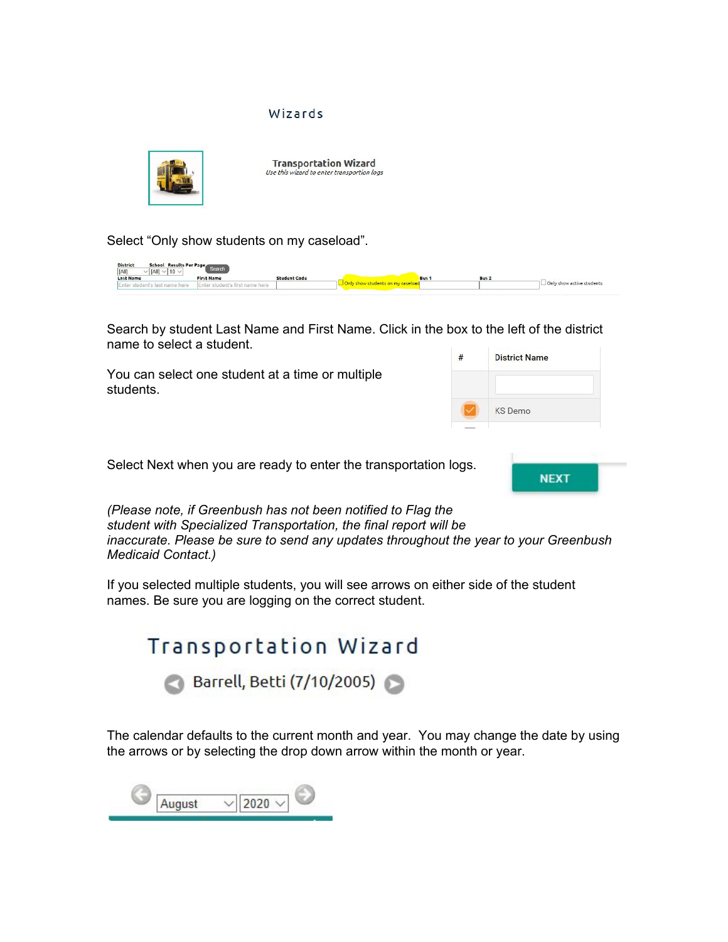#### Wizards



Select "Only show students on my caseload".



Search by student Last Name and First Name. Click in the box to the left of the district name to select a student.

You can select one student at a time or multiple students.

| <b>District Name</b> |  |
|----------------------|--|
| <b>KS</b> Demo       |  |
|                      |  |

Select Next when you are ready to enter the transportation logs.



*(Please note, if Greenbush has not been notified to Flag the student with Specialized Transportation, the final report will be inaccurate. Please be sure to send any updates throughout the year to your Greenbush Medicaid Contact.)*

If you selected multiple students, you will see arrows on either side of the student names. Be sure you are logging on the correct student.



The calendar defaults to the current month and year. You may change the date by using the arrows or by selecting the drop down arrow within the month or year.

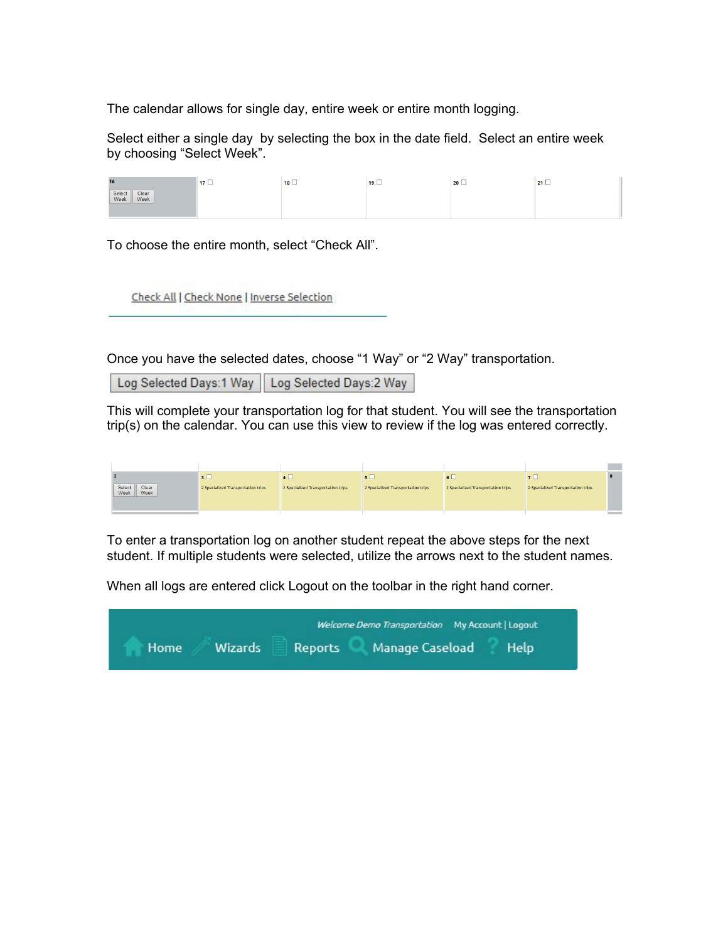The calendar allows for single day, entire week or entire month logging.

Select either a single day by selecting the box in the date field. Select an entire week by choosing "Select Week".

| 16                              | 17 <sup>1</sup> | The control of the present<br>18 | 19 | 20 | 21 |
|---------------------------------|-----------------|----------------------------------|----|----|----|
| Select<br>Week<br>Clear<br>Week |                 |                                  |    |    |    |

To choose the entire month, select "Check All".

Check All | Check None | Inverse Selection

Once you have the selected dates, choose "1 Way" or "2 Way" transportation.

Log Selected Days: 1 Way Log Selected Days: 2 Way

This will complete your transportation log for that student. You will see the transportation trip(s) on the calendar. You can use this view to review if the log was entered correctly.

|                                 | 3 <sub>1</sub>                     | 81 L                               |                                    |                                    |                                    |  |
|---------------------------------|------------------------------------|------------------------------------|------------------------------------|------------------------------------|------------------------------------|--|
| Select<br>Week<br>Clear<br>Week | 2 Specialized Transportation trips | 2 Specialized Transportation trips | 2 Specialized Transportation trips | 2 Specialized Transportation trips | 2 Specialized Transportation trips |  |

To enter a transportation log on another student repeat the above steps for the next student. If multiple students were selected, utilize the arrows next to the student names.

When all logs are entered click Logout on the toolbar in the right hand corner.

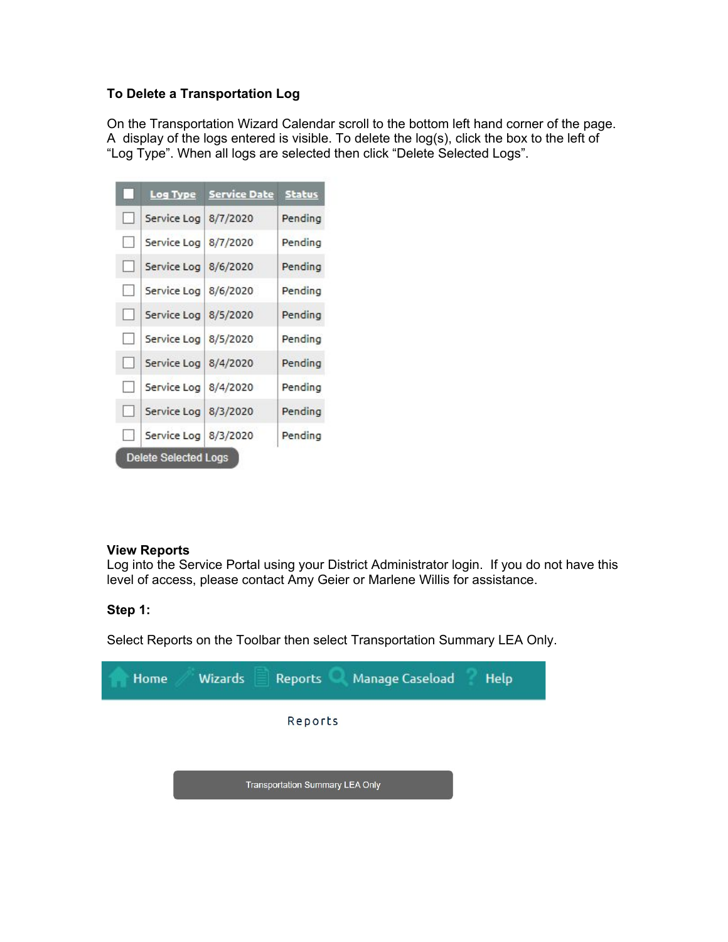# **To Delete a Transportation Log**

On the Transportation Wizard Calendar scroll to the bottom left hand corner of the page. A display of the logs entered is visible. To delete the log(s), click the box to the left of "Log Type". When all logs are selected then click "Delete Selected Logs".

| r.                          | Log Type               | <b>Service Date Status</b> |         |  |  |  |  |  |  |
|-----------------------------|------------------------|----------------------------|---------|--|--|--|--|--|--|
| $\Box$                      | Service Log   8/7/2020 |                            | Pending |  |  |  |  |  |  |
| $\Box$                      | Service Log   8/7/2020 |                            | Pending |  |  |  |  |  |  |
| H                           | Service Log   8/6/2020 |                            | Pending |  |  |  |  |  |  |
| D.                          | Service Log 8/6/2020   |                            | Pending |  |  |  |  |  |  |
| n                           | Service Log   8/5/2020 |                            | Pending |  |  |  |  |  |  |
| H                           | Service Log   8/5/2020 |                            | Pending |  |  |  |  |  |  |
| н                           | Service Log   8/4/2020 |                            | Pending |  |  |  |  |  |  |
| U                           | Service Log   8/4/2020 |                            | Pending |  |  |  |  |  |  |
| H                           | Service Log 8/3/2020   |                            | Pending |  |  |  |  |  |  |
| $\sim$                      | Service Log   8/3/2020 |                            | Pending |  |  |  |  |  |  |
| <b>Delete Selected Logs</b> |                        |                            |         |  |  |  |  |  |  |

#### **View Reports**

Log into the Service Portal using your District Administrator login. If you do not have this level of access, please contact Amy Geier or Marlene Willis for assistance.

### **Step 1:**

Select Reports on the Toolbar then select Transportation Summary LEA Only.

| Manage Caseload<br><b>Wizards</b><br>Help<br>Home<br>Reports |  |
|--------------------------------------------------------------|--|
| Reports                                                      |  |
|                                                              |  |
| <b>Transportation Summary LEA Only</b>                       |  |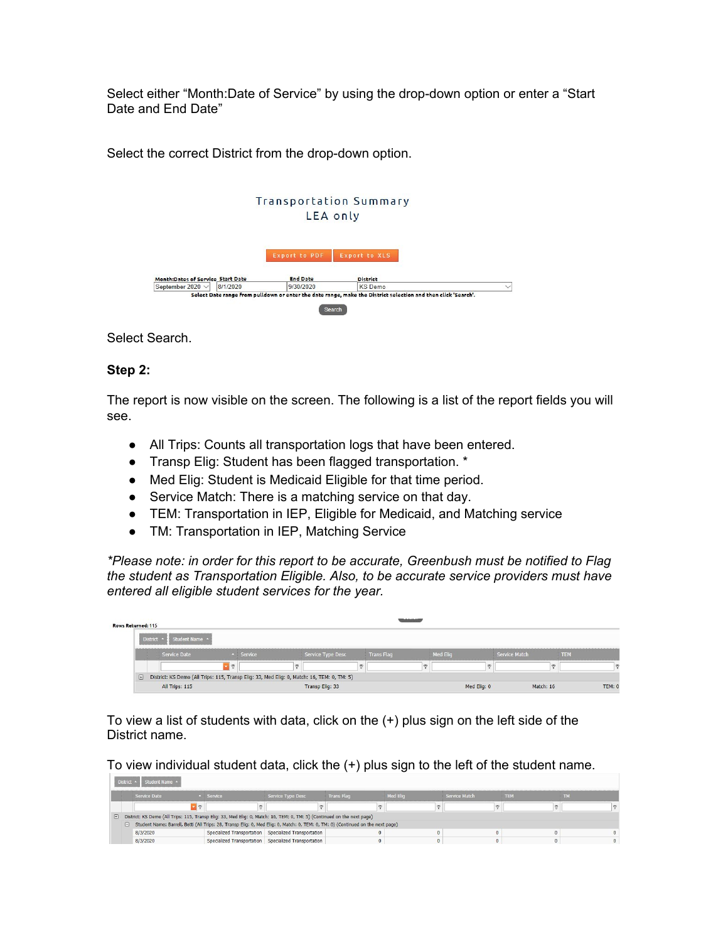Select either "Month:Date of Service" by using the drop-down option or enter a "Start Date and End Date"

Select the correct District from the drop-down option.



Select Search.

### **Step 2:**

**Communication** 

The report is now visible on the screen. The following is a list of the report fields you will see.

- All Trips: Counts all transportation logs that have been entered.
- Transp Elig: Student has been flagged transportation. \*
- Med Elig: Student is Medicaid Eligible for that time period.
- Service Match: There is a matching service on that day.
- TEM: Transportation in IEP, Eligible for Medicaid, and Matching service
- TM: Transportation in IEP, Matching Service

*\*Please note: in order for this report to be accurate, Greenbush must be notified to Flag the student as Transportation Eligible. Also, to be accurate service providers must have entered all eligible student services for the year.*

| Rows Returned: 115 |            |                                                                                            |     |           |  |                          |  |                   |   |                 |               |            |
|--------------------|------------|--------------------------------------------------------------------------------------------|-----|-----------|--|--------------------------|--|-------------------|---|-----------------|---------------|------------|
|                    | District . | Student Name ^                                                                             |     |           |  |                          |  |                   |   |                 |               |            |
|                    |            | Service Date                                                                               |     | - Service |  | <b>Service Type Desc</b> |  | <b>Trans Flag</b> |   | <b>Med Elig</b> | Service Match | <b>TEM</b> |
|                    |            |                                                                                            | (9) |           |  |                          |  |                   | Ÿ |                 |               |            |
|                    | $\Box$     | District: KS Demo (All Trips: 115, Transp Eliq: 33, Med Eliq: 0, Match: 16, TEM: 0, TM: 5) |     |           |  |                          |  |                   |   |                 |               |            |
|                    |            | All Trips: 115                                                                             |     |           |  | Transp Elig: 33          |  |                   |   | Med Elig: 0     | Match: 16     | TEM: 0     |

To view a list of students with data, click on the (+) plus sign on the left side of the District name.

To view individual student data, click the (+) plus sign to the left of the student name.

|  |                                                                                                                                    | District $\sim$ 1<br>■ Student Name ▲                                                                                     |             |                                                       |                   |                 |               |            |                |  |  |  |  |
|--|------------------------------------------------------------------------------------------------------------------------------------|---------------------------------------------------------------------------------------------------------------------------|-------------|-------------------------------------------------------|-------------------|-----------------|---------------|------------|----------------|--|--|--|--|
|  |                                                                                                                                    | Service Date                                                                                                              | $-$ Service | Service Type Desc                                     | <b>Trans Flag</b> | <b>Med Elia</b> | Service Match | <b>TEN</b> |                |  |  |  |  |
|  |                                                                                                                                    |                                                                                                                           |             |                                                       |                   |                 |               |            |                |  |  |  |  |
|  |                                                                                                                                    | E District: KS Demo (All Trips: 115, Transp Eliq: 33, Med Eliq: 0, Match: 16, TEM: 0, TM: 5) (Continued on the next page) |             |                                                       |                   |                 |               |            |                |  |  |  |  |
|  | El Student Name: Barrell, Betti (All Trips: 28, Transp Eliq: 0, Med Eliq: 0, Match: 0, TEM: 0, TM: 0) (Continued on the next page) |                                                                                                                           |             |                                                       |                   |                 |               |            |                |  |  |  |  |
|  |                                                                                                                                    | 8/3/2020                                                                                                                  |             | Specialized Transportation Specialized Transportation |                   |                 |               |            |                |  |  |  |  |
|  |                                                                                                                                    | 8/3/2020                                                                                                                  |             | Specialized Transportation Specialized Transportation |                   |                 |               |            | $\overline{0}$ |  |  |  |  |